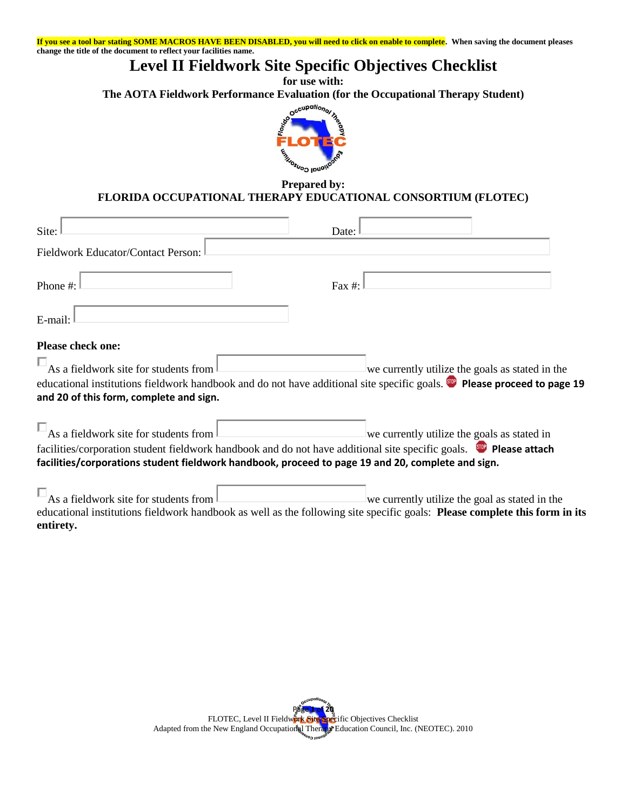**If you see a tool bar stating SOME MACROS HAVE BEEN DISABLED, you will need to click on enable to complete. When saving the document pleases change the title of the document to reflect your facilities name.**

# **Level II Fieldwork Site Specific Objectives Checklist**

**for use with:**

**The AOTA Fieldwork Performance Evaluation (for the Occupational Therapy Student)**



## **Prepared by: FLORIDA OCCUPATIONAL THERAPY EDUCATIONAL CONSORTIUM (FLOTEC)**

| Site:                                                                                             | Date:  |                                                                                                                                                                                        |
|---------------------------------------------------------------------------------------------------|--------|----------------------------------------------------------------------------------------------------------------------------------------------------------------------------------------|
| Fieldwork Educator/Contact Person:                                                                |        |                                                                                                                                                                                        |
| Phone #:                                                                                          | Fax #: |                                                                                                                                                                                        |
| E-mail:                                                                                           |        |                                                                                                                                                                                        |
| Please check one:                                                                                 |        |                                                                                                                                                                                        |
| $\Box$ As a fieldwork site for students from $\vert$<br>and 20 of this form, complete and sign.   |        | we currently utilize the goals as stated in the<br>educational institutions fieldwork handbook and do not have additional site specific goals. <b>Supplement of the set of page 19</b> |
| $\Box$ As a fieldwork site for students from $\Box$                                               |        | we currently utilize the goals as stated in                                                                                                                                            |
| facilities/corporations student fieldwork handbook, proceed to page 19 and 20, complete and sign. |        | facilities/corporation student fieldwork handbook and do not have additional site specific goals. <b>Supplements</b> Please attach                                                     |
| $\Box$ As a fieldwork site for students from $\Box$                                               |        | we currently utilize the goal as stated in the<br>educational institutions fieldwork handbook as well as the following site specific goals: Please complete this form in its           |

**entirety.**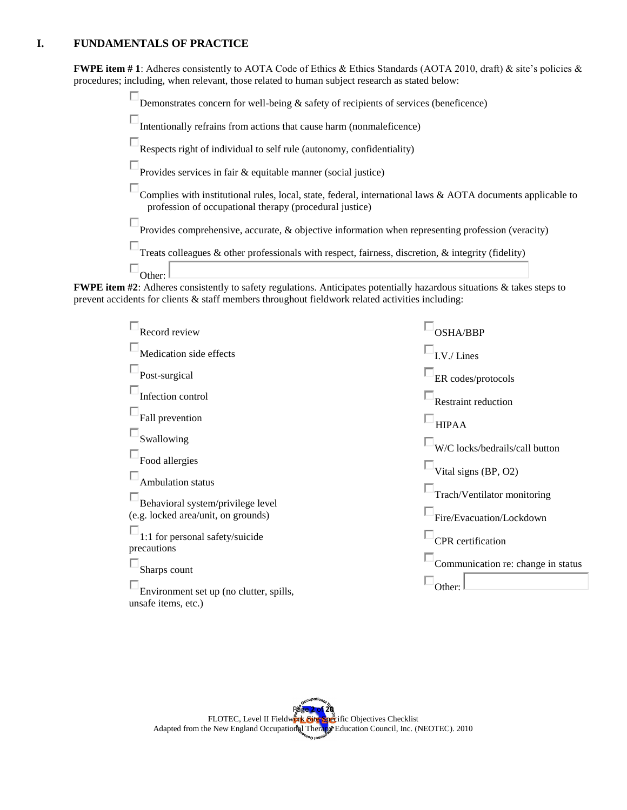### **I. FUNDAMENTALS OF PRACTICE**

**FWPE item # 1**: Adheres consistently to AOTA Code of Ethics & Ethics Standards (AOTA 2010, draft) & site's policies & procedures; including, when relevant, those related to human subject research as stated below:



**FWPE item #2**: Adheres consistently to safety regulations. Anticipates potentially hazardous situations & takes steps to prevent accidents for clients & staff members throughout fieldwork related activities including:

| Record review                                                  | <b>OSHA/BBP</b>                    |
|----------------------------------------------------------------|------------------------------------|
| $\Box$ Medication side effects                                 | $I.V./$ Lines                      |
| Post-surgical                                                  | ER codes/protocols                 |
| Infection control                                              | Restraint reduction                |
| $\Box$ Fall prevention                                         | <b>HIPAA</b>                       |
| $\Box$ Swallowing                                              | W/C locks/bedrails/call button     |
| Food allergies                                                 | Vital signs (BP, O2)               |
| Ambulation status                                              | Trach/Ventilator monitoring        |
| Behavioral system/privilege level                              |                                    |
| (e.g. locked area/unit, on grounds)                            | Fire/Evacuation/Lockdown           |
| $-1:1$ for personal safety/suicide                             | <b>CPR</b> certification           |
| precautions                                                    |                                    |
| Sharps count                                                   | Communication re: change in status |
| Environment set up (no clutter, spills,<br>unsafe items, etc.) | Other:                             |
|                                                                |                                    |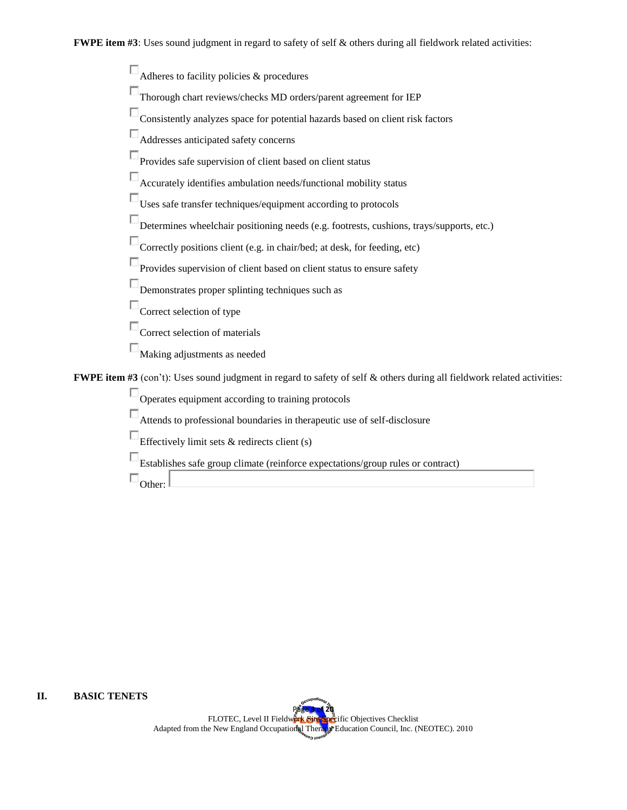Adheres to facility policies & procedures

Thorough chart reviews/checks MD orders/parent agreement for IEP

Consistently analyzes space for potential hazards based on client risk factors

Addresses anticipated safety concerns

 $\square$  Provides safe supervision of client based on client status

Accurately identifies ambulation needs/functional mobility status

 $\Box_{\text{Uses safe transfer techniques/equipment according to protocols}}$ 

Determines wheelchair positioning needs (e.g. footrests, cushions, trays/supports, etc.)

Correctly positions client (e.g. in chair/bed; at desk, for feeding, etc)

 $\square$  Provides supervision of client based on client status to ensure safety

Demonstrates proper splinting techniques such as

Correct selection of type

Correct selection of materials

 $\square$  Making adjustments as needed

**FWPE item #3** (con't): Uses sound judgment in regard to safety of self & others during all fieldwork related activities:

Operates equipment according to training protocols

 $\Box$  Attends to professional boundaries in therapeutic use of self-disclosure

Effectively limit sets  $\&$  redirects client (s)

Establishes safe group climate (reinforce expectations/group rules or contract)

 $\square$ Other:

**II. BASIC TENETS**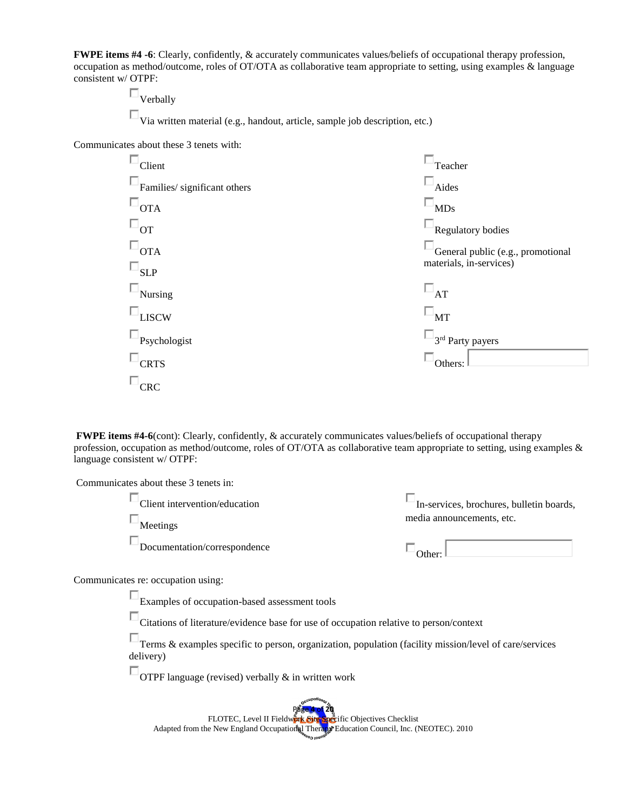**FWPE items #4 -6**: Clearly, confidently, & accurately communicates values/beliefs of occupational therapy profession, occupation as method/outcome, roles of OT/OTA as collaborative team appropriate to setting, using examples & language consistent w/ OTPF:

 $\Box_{\rm Verbally}$ 

Via written material (e.g., handout, article, sample job description, etc.)

Communicates about these 3 tenets with:

| Client                          | Teacher                             |
|---------------------------------|-------------------------------------|
| Families/ significant others    | Aides                               |
| <b>OTA</b>                      | <b>MDs</b>                          |
| $\overline{1} \text{O}^{\perp}$ | Regulatory bodies                   |
| <b>OTA</b>                      | General public (e.g., promotional   |
| $\sqcup_{\rm SLP}$              | materials, in-services)             |
| Nursing                         | $\square_{\text{AT}}$               |
| <b>LISCW</b>                    | $\square_{\rm MT}$                  |
| Psychologist                    | $\Box$ 3 <sup>rd</sup> Party payers |
| <b>CRTS</b>                     | Others:                             |
| <b>CRC</b>                      |                                     |

**FWPE items #4-6**(cont): Clearly, confidently, & accurately communicates values/beliefs of occupational therapy profession, occupation as method/outcome, roles of OT/OTA as collaborative team appropriate to setting, using examples & language consistent w/ OTPF:

Communicates about these 3 tenets in:

| Client intervention/education | In-services, brochures, bulletin boards, |
|-------------------------------|------------------------------------------|
| Meetings                      | media announcements, etc.                |
| Documentation/correspondence  | $\Delta$ Other:                          |

Communicates re: occupation using:

 $\square_{\text{Examples of occupation-based assessment tools}}$ 

Citations of literature/evidence base for use of occupation relative to person/context

Terms & examples specific to person, organization, population (facility mission/level of care/services delivery)

OTPF language (revised) verbally & in written work

Page **4** of **20** FLOTEC, Level II Fieldwork Site Specific Objectives Checklist Adapted from the New England Occupations Therapy Education Council, Inc. (NEOTEC). 2010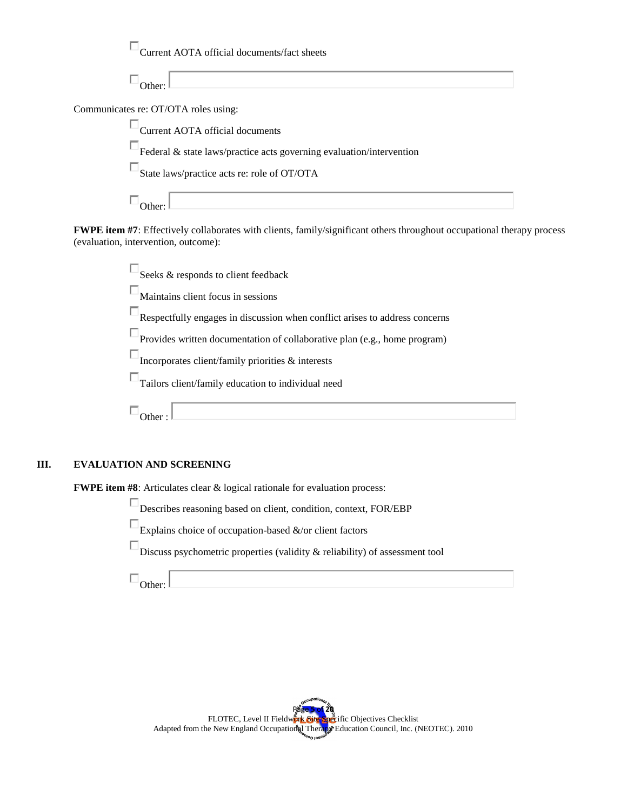| Current AOTA official documents/fact sheets                                                                                                                    |
|----------------------------------------------------------------------------------------------------------------------------------------------------------------|
| Other:                                                                                                                                                         |
| Communicates re: OT/OTA roles using:                                                                                                                           |
| <b>Current AOTA official documents</b>                                                                                                                         |
| Federal & state laws/practice acts governing evaluation/intervention                                                                                           |
| State laws/practice acts re: role of OT/OTA                                                                                                                    |
| <u> 1989 - Johann Barbara, martxa a</u>                                                                                                                        |
| FWPE item #7: Effectively collaborates with clients, family/significant others throughout occupational therapy process<br>(evaluation, intervention, outcome): |
| Seeks & responds to client feedback                                                                                                                            |
| Maintains client focus in sessions                                                                                                                             |
| Respectfully engages in discussion when conflict arises to address concerns                                                                                    |
| Provides written documentation of collaborative plan (e.g., home program)                                                                                      |
| Incorporates client/family priorities & interests                                                                                                              |
| Tailors client/family education to individual need                                                                                                             |

## **III. EVALUATION AND SCREENING**

 $\square_{\text{Other}}$ .

**FWPE item #8**: Articulates clear & logical rationale for evaluation process:

Describes reasoning based on client, condition, context, FOR/EBP

 $\square_{\text{Explains choice of occupation-based $\&\text{$\&$}}\xspace}$ 

 $\Box$  <br> Discuss psychometric properties (validity & reliability) of assessment tool

 $\square_{\text{Other:}}$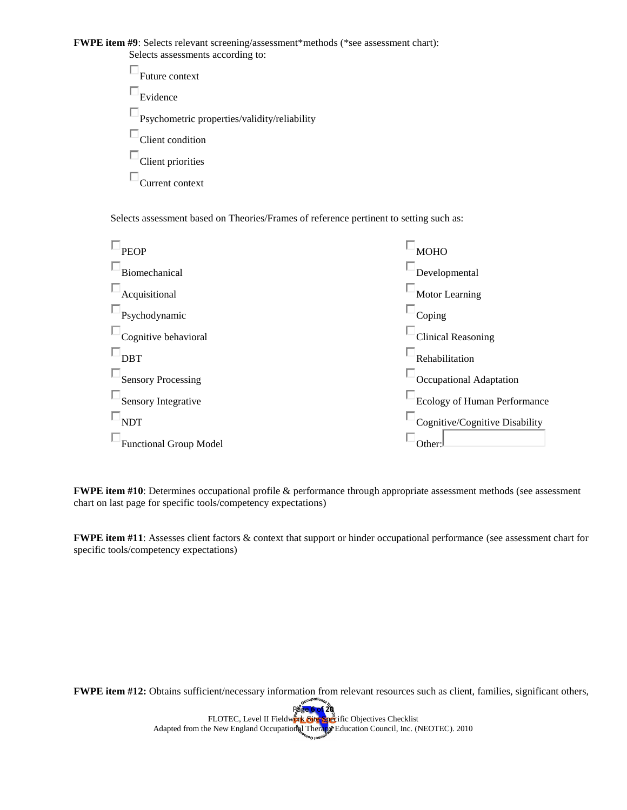**FWPE item #9**: Selects relevant screening/assessment\*methods (\*see assessment chart): Selects assessments according to:



Selects assessment based on Theories/Frames of reference pertinent to setting such as:

| <b>PEOP</b>                   | <b>MOHO</b>                    |
|-------------------------------|--------------------------------|
| Biomechanical                 | Developmental                  |
| Acquisitional                 | Motor Learning                 |
| Psychodynamic                 | Coping                         |
| Cognitive behavioral          | Clinical Reasoning             |
| <sup>-</sup> DBT              | Rehabilitation                 |
| Sensory Processing            | Occupational Adaptation        |
| Sensory Integrative           | Ecology of Human Performance   |
| NDT <sup>1</sup>              | Cognitive/Cognitive Disability |
| <b>Functional Group Model</b> | Other                          |

**FWPE item #10**: Determines occupational profile & performance through appropriate assessment methods (see assessment chart on last page for specific tools/competency expectations)

**FWPE item #11**: Assesses client factors & context that support or hinder occupational performance (see assessment chart for specific tools/competency expectations)

Page **6** of **20** FLOTEC, Level II Fieldwork Site Specific Objectives Checklist Adapted from the New England Occupations Therapy Education Council, Inc. (NEOTEC). 2010 **FWPE item #12:** Obtains sufficient/necessary information from relevant resources such as client, families, significant others,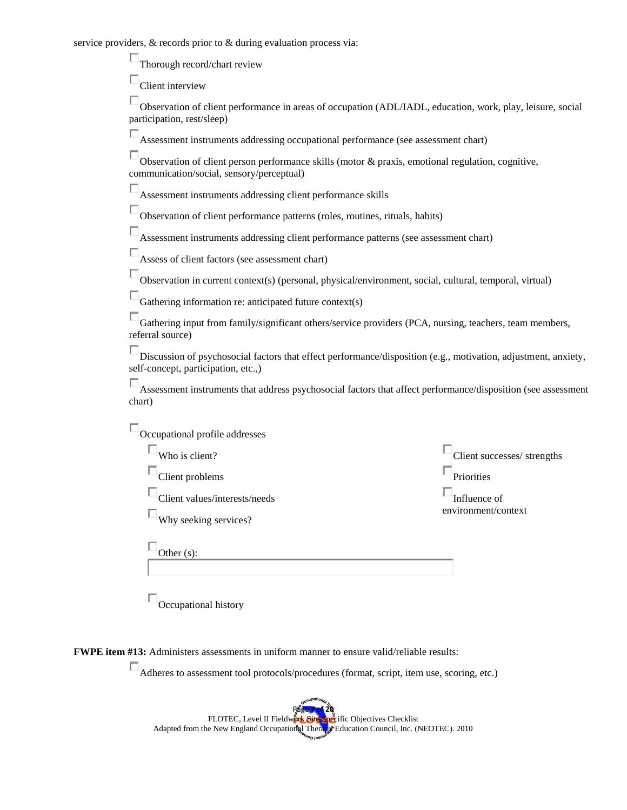service providers, & records prior to & during evaluation process via:

Thorough record/chart review

 $\square$ Client interview

Observation of client performance in areas of occupation (ADL/IADL, education, work, play, leisure, social participation, rest/sleep)

 $\Box$  Assessment instruments addressing occupational performance (see assessment chart)

Observation of client person performance skills (motor & praxis, emotional regulation, cognitive, communication/social, sensory/perceptual)

Assessment instruments addressing client performance skills

Observation of client performance patterns (roles, routines, rituals, habits)

Assessment instruments addressing client performance patterns (see assessment chart)

Assess of client factors (see assessment chart)

Observation in current context(s) (personal, physical/environment, social, cultural, temporal, virtual)

 $\square$  Gathering information re: anticipated future context(s)

Gathering input from family/significant others/service providers (PCA, nursing, teachers, team members, referral source)

Discussion of psychosocial factors that effect performance/disposition (e.g., motivation, adjustment, anxiety, self-concept, participation, etc.,)

Assessment instruments that address psychosocial factors that affect performance/disposition (see assessment chart)

Occupational profile addresses

 $\square$ Who is client?

 $\square$ Client problems

Client values/interests/needs

Why seeking services?

Other (s):

Client successes/ strengths

 $\Box$ Priorities

 $\Box$ Influence of environment/context

 $\square$ Occupational history

**FWPE item #13:** Administers assessments in uniform manner to ensure valid/reliable results:

Adheres to assessment tool protocols/procedures (format, script, item use, scoring, etc.)

Page **7** of **20** FLOTEC, Level II Fieldwork Site Specific Objectives Checklist Adapted from the New England Occupations Therapy Education Council, Inc. (NEOTEC). 2010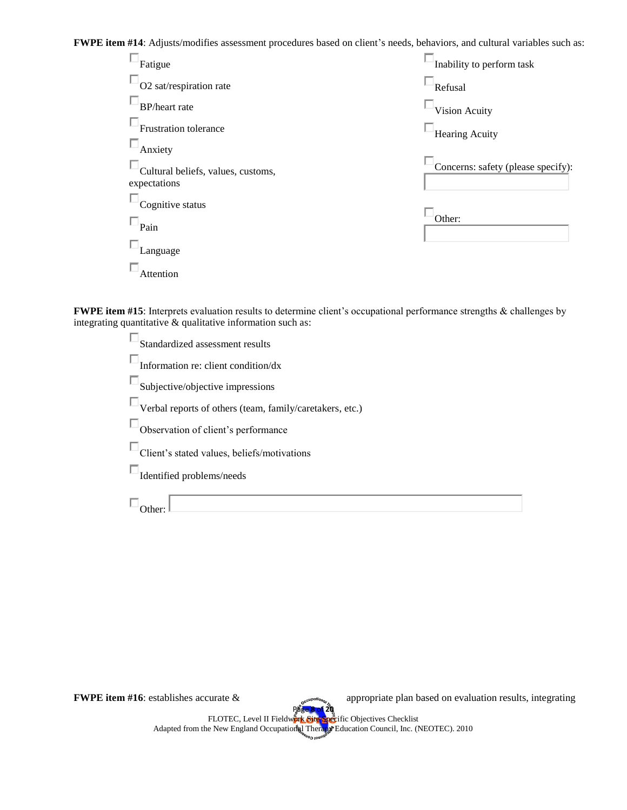**FWPE item #14**: Adjusts/modifies assessment procedures based on client's needs, behaviors, and cultural variables such as:

| Fatigue                             | Inability to perform task          |
|-------------------------------------|------------------------------------|
| O <sub>2</sub> sat/respiration rate | Refusal                            |
| <b>BP</b> /heart rate               | Vision Acuity                      |
| Frustration tolerance               | Hearing Acuity                     |
| Anxiety                             |                                    |
| Cultural beliefs, values, customs,  | Concerns: safety (please specify): |
| expectations                        |                                    |
| Cognitive status                    |                                    |
| Pain                                | Other:                             |
| Language                            |                                    |
| Attention                           |                                    |

**FWPE item #15**: Interprets evaluation results to determine client's occupational performance strengths & challenges by integrating quantitative  $\&$  qualitative information such as:

| Standardized assessment results                          |
|----------------------------------------------------------|
| Information re: client condition/dx                      |
| Subjective/objective impressions                         |
| Verbal reports of others (team, family/caretakers, etc.) |
| Observation of client's performance                      |
| Client's stated values, beliefs/motivations              |
| Identified problems/needs                                |
|                                                          |
|                                                          |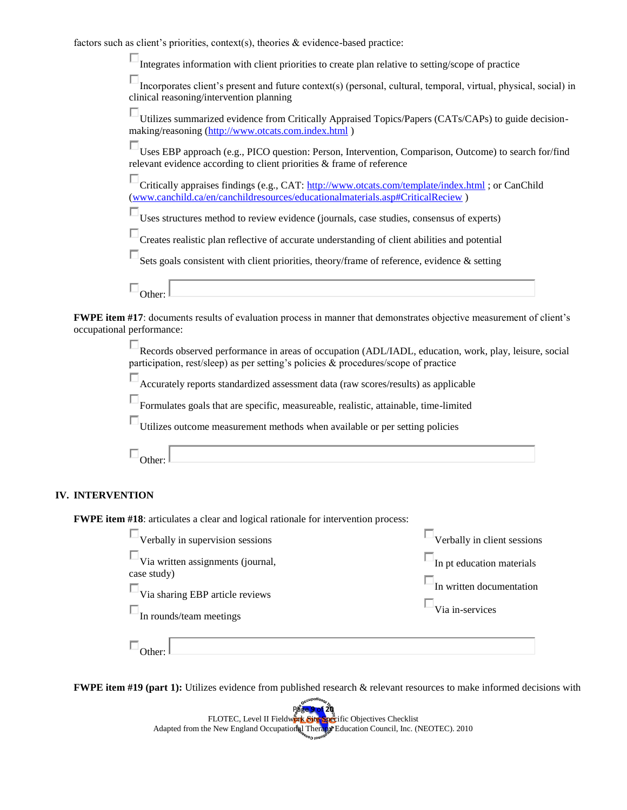factors such as client's priorities, context(s), theories & evidence-based practice:

Integrates information with client priorities to create plan relative to setting/scope of practice

Incorporates client's present and future context(s) (personal, cultural, temporal, virtual, physical, social) in clinical reasoning/intervention planning

| Utilizes summarized evidence from Critically Appraised Topics/Papers (CATs/CAPs) to guide decision- |  |
|-----------------------------------------------------------------------------------------------------|--|
| making/reasoning (http://www.otcats.com.index.html)                                                 |  |

Uses EBP approach (e.g., PICO question: Person, Intervention, Comparison, Outcome) to search for/find relevant evidence according to client priorities & frame of reference

Critically appraises findings (e.g., CAT:<http://www.otcats.com/template/index.html> ; or CanChild [\(www.canchild.ca/en/canchildresources/educationalmaterials.asp#CriticalReciew](http://www.canchild.ca/en/canchildresources/educationalmaterials.asp#CriticalReciew) )

Uses structures method to review evidence (journals, case studies, consensus of experts)

 $\Box$  Creates realistic plan reflective of accurate understanding of client abilities and potential

Sets goals consistent with client priorities, theory/frame of reference, evidence & setting

 $\square_{\text{Other:}}$ 

**FWPE item #17**: documents results of evaluation process in manner that demonstrates objective measurement of client's occupational performance:

> Records observed performance in areas of occupation (ADL/IADL, education, work, play, leisure, social participation, rest/sleep) as per setting's policies & procedures/scope of practice

Accurately reports standardized assessment data (raw scores/results) as applicable

Formulates goals that are specific, measureable, realistic, attainable, time-limited

Utilizes outcome measurement methods when available or per setting policies

 $\square$ Other:

 $\blacksquare$ 

## **IV. INTERVENTION**

**FWPE item #18**: articulates a clear and logical rationale for intervention process:

| $\blacksquare$ Verbally in supervision sessions                                   | Verbally in client sessions                                        |
|-----------------------------------------------------------------------------------|--------------------------------------------------------------------|
| $\Box_{\text{Via written assignments (journal, )} }$<br>case study)               | $\Box$ In pt education materials                                   |
| $\Box_{\text{Via sharing EBP article reviews}}$<br>$\Box$ In rounds/team meetings | $\Box$ In written documentation<br>$\Box_{\text{Via in-services}}$ |
| $\square_{\text{Other:}}\,$                                                       |                                                                    |

**FWPE item #19 (part 1):** Utilizes evidence from published research & relevant resources to make informed decisions with

| $-1$<br>$\overline{\mathcal{Q}}$<br>Page 9 of 2g                                           |
|--------------------------------------------------------------------------------------------|
| FLOTEC, Level II Fieldwork Site Specific Objectives Checklist                              |
| Adapted from the New England Occupations I Theraps' Education Council, Inc. (NEOTEC). 2010 |
|                                                                                            |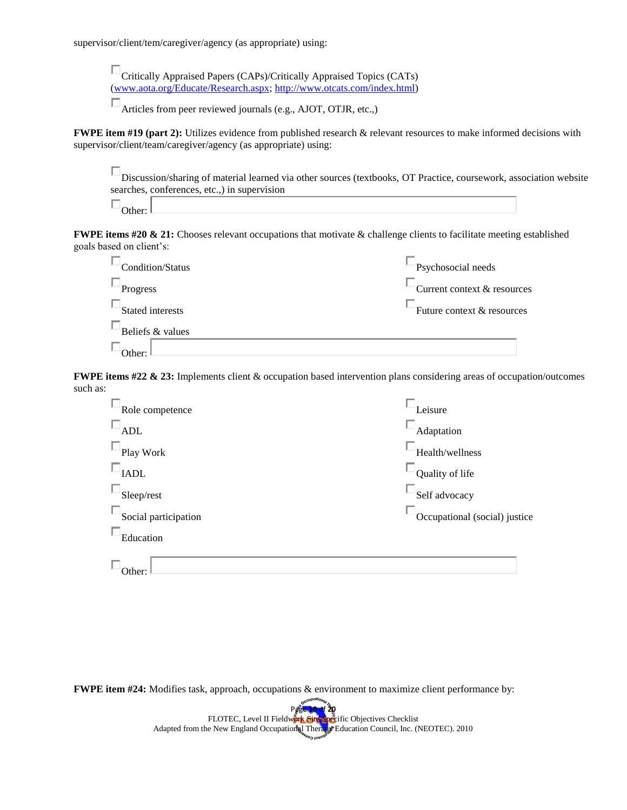supervisor/client/tem/caregiver/agency (as appropriate) using:

Critically Appraised Papers (CAPs)/Critically Appraised Topics (CATs) [\(www.aota.org/Educate/Research.aspx;](http://www.aota.org/Educate/Research.aspx) [http://www.otcats.com/index.html\)](http://www.otcats.com/index.html)

Articles from peer reviewed journals (e.g., AJOT, OTJR, etc.,)

**FWPE item #19 (part 2):** Utilizes evidence from published research & relevant resources to make informed decisions with supervisor/client/team/caregiver/agency (as appropriate) using:

Discussion/sharing of material learned via other sources (textbooks, OT Practice, coursework, association website searches, conferences, etc.,) in supervision

 $\square$ Other:

**FWPE items #20 & 21:** Chooses relevant occupations that motivate & challenge clients to facilitate meeting established goals based on client's:

| Condition/Status | Psychosocial needs          |
|------------------|-----------------------------|
| Progress         | Current context & resources |
| Stated interests | Future context & resources  |
| Beliefs & values |                             |
| )ther∙           |                             |

**FWPE items #22 & 23:** Implements client & occupation based intervention plans considering areas of occupation/outcomes such as:

| Role competence      | Leisure                       |
|----------------------|-------------------------------|
| <b>ADL</b>           | Adaptation                    |
| Play Work            | Health/wellness               |
| <b>IADL</b>          | Quality of life               |
| Sleep/rest           | Self advocacy                 |
| Social participation | Occupational (social) justice |
| Education            |                               |
| )ther:               |                               |

Page **10** of **20** FLOTEC, Level II Fieldwork Site Specific Objectives Checklist Adapted from the New England Occupations Therapy Education Council, Inc. (NEOTEC). 2010 **FWPE item #24:** Modifies task, approach, occupations & environment to maximize client performance by: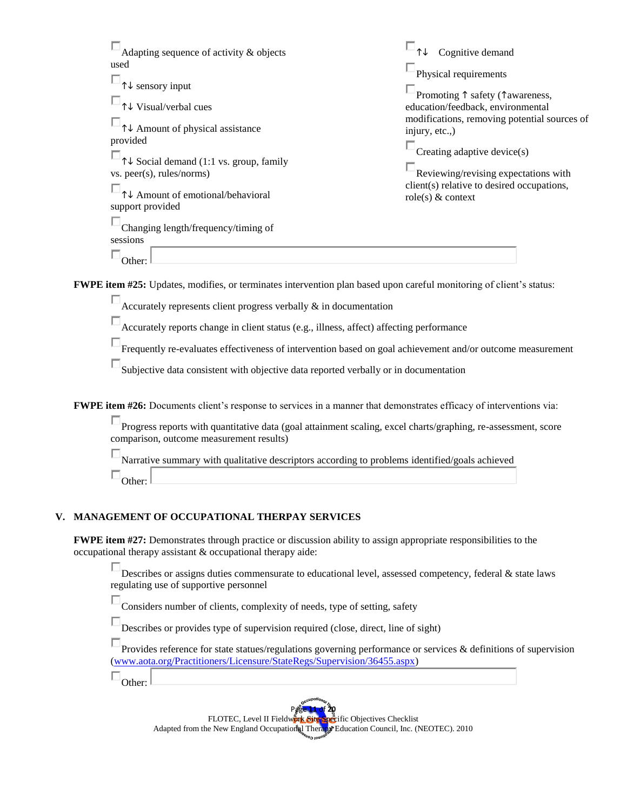| Adapting sequence of activity & objects<br>used<br>$\uparrow \downarrow$ sensory input<br>$\uparrow \downarrow$ Visual/verbal cues<br>$\Box$ T $\downarrow$ Amount of physical assistance<br>provided<br>$\uparrow \downarrow$ Social demand (1:1 vs. group, family<br>vs. peer(s), rules/norms)<br>↑↓ Amount of emotional/behavioral<br>support provided<br>Changing length/frequency/timing of<br>sessions | Cognitive demand<br>Physical requirements<br>Promoting 1 safety (1 awareness,<br>education/feedback, environmental<br>modifications, removing potential sources of<br>injury, etc.,)<br>Creating adaptive device(s)<br>Reviewing/revising expectations with<br>client(s) relative to desired occupations,<br>$role(s)$ & context |
|--------------------------------------------------------------------------------------------------------------------------------------------------------------------------------------------------------------------------------------------------------------------------------------------------------------------------------------------------------------------------------------------------------------|----------------------------------------------------------------------------------------------------------------------------------------------------------------------------------------------------------------------------------------------------------------------------------------------------------------------------------|
| วther∙                                                                                                                                                                                                                                                                                                                                                                                                       |                                                                                                                                                                                                                                                                                                                                  |

**FWPE item #25:** Updates, modifies, or terminates intervention plan based upon careful monitoring of client's status:

 $\square$  Accurately represents client progress verbally  $\&$  in documentation

Accurately reports change in client status (e.g., illness, affect) affecting performance

Frequently re-evaluates effectiveness of intervention based on goal achievement and/or outcome measurement

 $\square$ Subjective data consistent with objective data reported verbally or in documentation

**FWPE item #26:** Documents client's response to services in a manner that demonstrates efficacy of interventions via:

Progress reports with quantitative data (goal attainment scaling, excel charts/graphing, re-assessment, score comparison, outcome measurement results)

Narrative summary with qualitative descriptors according to problems identified/goals achieved  $\square_{\text{Other:}}$ 

### **V. MANAGEMENT OF OCCUPATIONAL THERPAY SERVICES**

**FWPE item #27:** Demonstrates through practice or discussion ability to assign appropriate responsibilities to the occupational therapy assistant & occupational therapy aide:

Describes or assigns duties commensurate to educational level, assessed competency, federal & state laws regulating use of supportive personnel

Considers number of clients, complexity of needs, type of setting, safety

Describes or provides type of supervision required (close, direct, line of sight)

| Provides reference for state statues/regulations governing performance or services $\&$ definitions of supervision |
|--------------------------------------------------------------------------------------------------------------------|
| $(www.aota.org/Practitioners/Licensure/StateRegs/Supervision/36455.aspx)$                                          |

 $\square_{\text{Other:}}$ 

Page **11** of **20** FLOTEC, Level II Fieldwork Site Specific Objectives Checklist Adapted from the New England Occupations Therapy Education Council, Inc. (NEOTEC). 2010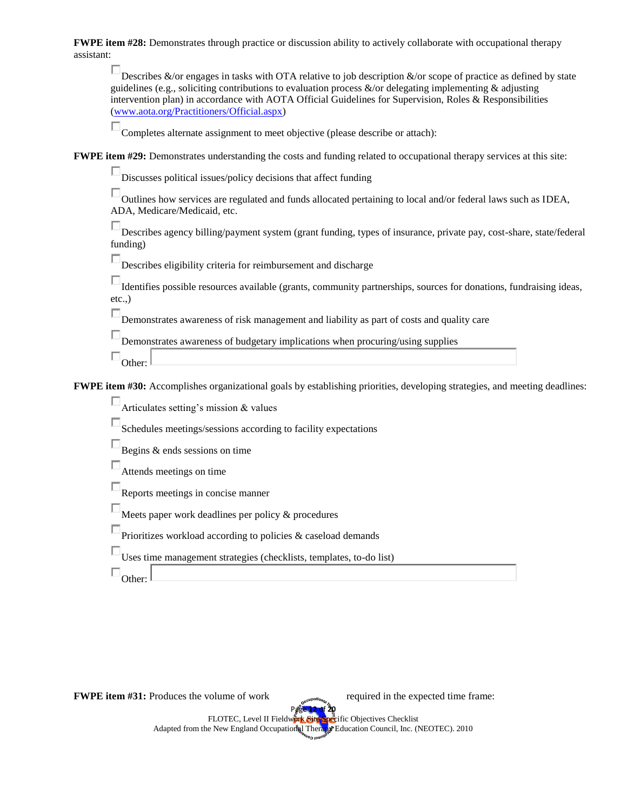**FWPE item #28:** Demonstrates through practice or discussion ability to actively collaborate with occupational therapy assistant:

Describes &/or engages in tasks with OTA relative to job description &/or scope of practice as defined by state guidelines (e.g., soliciting contributions to evaluation process  $\&$ /or delegating implementing  $\&$  adjusting intervention plan) in accordance with AOTA Official Guidelines for Supervision, Roles & Responsibilities [\(www.aota.org/Practitioners/Official.aspx\)](http://www.aota.org/Practitioners/Official.aspx)

Completes alternate assignment to meet objective (please describe or attach):

**FWPE item #29:** Demonstrates understanding the costs and funding related to occupational therapy services at this site:

Discusses political issues/policy decisions that affect funding

Outlines how services are regulated and funds allocated pertaining to local and/or federal laws such as IDEA, ADA, Medicare/Medicaid, etc.

Describes agency billing/payment system (grant funding, types of insurance, private pay, cost-share, state/federal funding)

Describes eligibility criteria for reimbursement and discharge

Identifies possible resources available (grants, community partnerships, sources for donations, fundraising ideas, etc.,)

Demonstrates awareness of risk management and liability as part of costs and quality care

Demonstrates awareness of budgetary implications when procuring/using supplies

 $\square_{\text{Other:}}$ 

**FWPE item #30:** Accomplishes organizational goals by establishing priorities, developing strategies, and meeting deadlines:

**Articulates setting's mission & values** 

 $\square$ Schedules meetings/sessions according to facility expectations

 $\Box$ Begins & ends sessions on time

Attends meetings on time

Reports meetings in concise manner

Meets paper work deadlines per policy & procedures

**Prioritizes workload according to policies & caseload demands** 

Uses time management strategies (checklists, templates, to-do list)

 $\square_{\text{Other:}}$ 

Page **12** of **20** FLOTEC, Level II Fieldwork Site Specific Objectives Checklist Adapted from the New England Occupations Therapy Education Council, Inc. (NEOTEC). 2010 **FWPE item #31:** Produces the volume of work required in the expected time frame: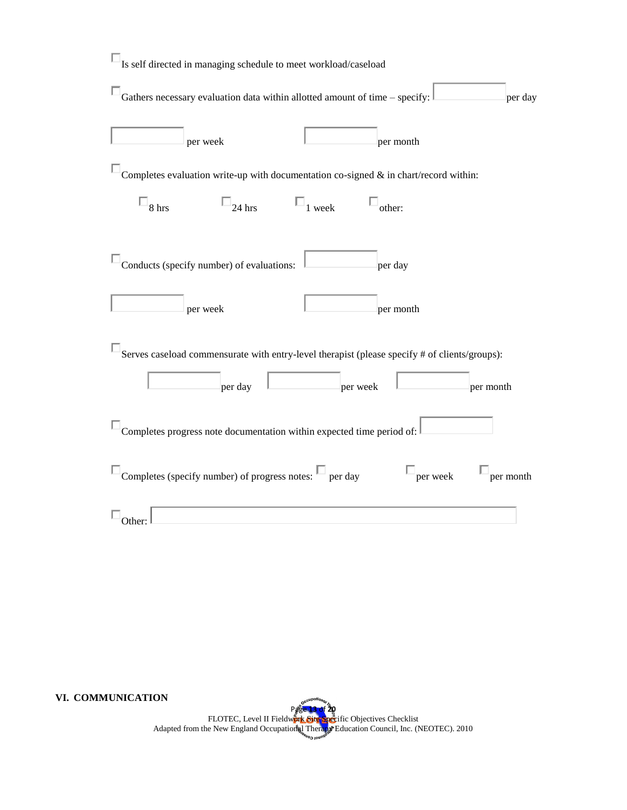| Is self directed in managing schedule to meet workload/caseload                                                                   |
|-----------------------------------------------------------------------------------------------------------------------------------|
| Gathers necessary evaluation data within allotted amount of time - specify:<br>per day                                            |
| per week<br>per month                                                                                                             |
| Completes evaluation write-up with documentation co-signed $\&$ in chart/record within:                                           |
| $\Box$ week<br>$\Box_{8 \text{ hrs}}$<br>$\Box$ other:<br>$\Box_{24 \text{ hrs}}$                                                 |
| Conducts (specify number) of evaluations:<br>per day                                                                              |
| per week<br>per month                                                                                                             |
| Serves caseload commensurate with entry-level therapist (please specify # of clients/groups):<br>per day<br>per week<br>per month |
| Completes progress note documentation within expected time period of:                                                             |
| Completes (specify number) of progress notes: $\square$ per day<br>$\Box$ per week<br>per month                                   |
| Other:                                                                                                                            |

**VI. COMMUNICATION**

Page **13** of **20** FLOTEC, Level II Fieldwork Site Specific Objectives Checklist Adapted from the New England Occupations Therapy Education Council, Inc. (NEOTEC). 2010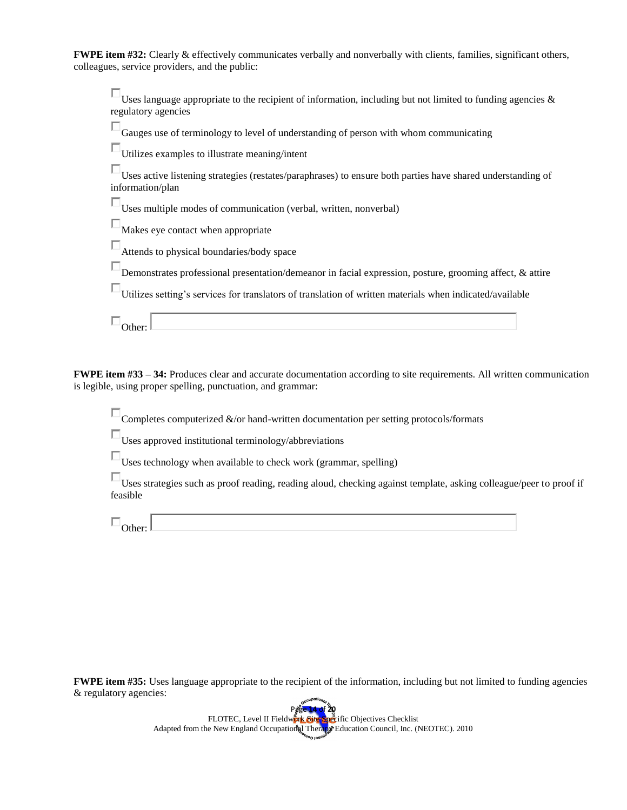**FWPE item #32:** Clearly & effectively communicates verbally and nonverbally with clients, families, significant others, colleagues, service providers, and the public:

| Uses language appropriate to the recipient of information, including but not limited to funding agencies $\&$                   |
|---------------------------------------------------------------------------------------------------------------------------------|
| regulatory agencies                                                                                                             |
| Gauges use of terminology to level of understanding of person with whom communicating                                           |
| Utilizes examples to illustrate meaning/intent                                                                                  |
| Uses active listening strategies (restates/paraphrases) to ensure both parties have shared understanding of<br>information/plan |
| Uses multiple modes of communication (verbal, written, nonverbal)                                                               |
| Makes eye contact when appropriate                                                                                              |
| Attends to physical boundaries/body space                                                                                       |
| Demonstrates professional presentation/demeanor in facial expression, posture, grooming affect, & attire                        |
| Utilizes setting's services for translators of translation of written materials when indicated/available                        |
|                                                                                                                                 |

**FWPE item #33 – 34:** Produces clear and accurate documentation according to site requirements. All written communication is legible, using proper spelling, punctuation, and grammar:

 $\square$  Completes computerized &/or hand-written documentation per setting protocols/formats

 $\Box_{\text{Uses}}$  approved institutional terminology/abbreviations

 $\Box_{\text{Uses}}$  technology when available to check work (grammar, spelling)

Uses strategies such as proof reading, reading aloud, checking against template, asking colleague/peer to proof if feasible

 $\square_{\text{Other}}$ 

**FWPE item #35:** Uses language appropriate to the recipient of the information, including but not limited to funding agencies & regulatory agencies: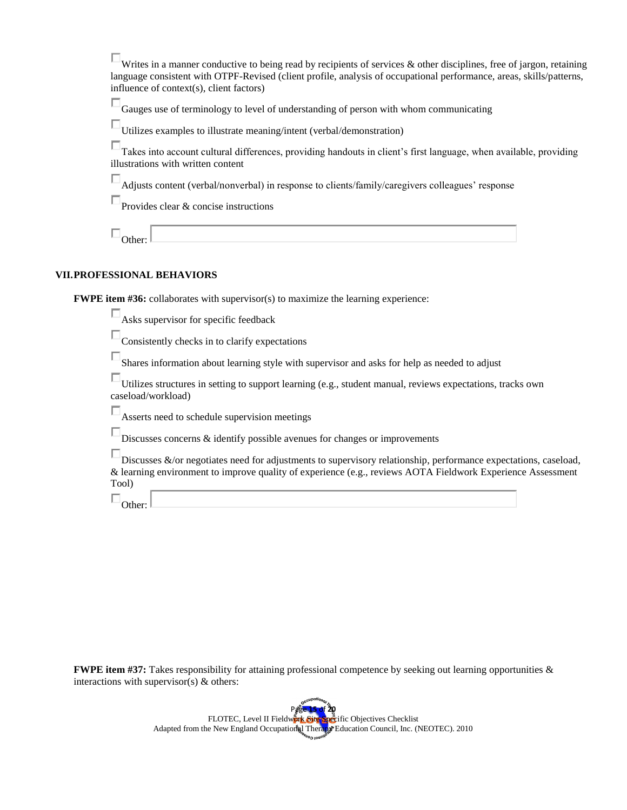| Writes in a manner conductive to being read by recipients of services & other disciplines, free of jargon, retaining |
|----------------------------------------------------------------------------------------------------------------------|
| language consistent with OTPF-Revised (client profile, analysis of occupational performance, areas, skills/patterns, |
| influence of context(s), client factors)                                                                             |

Gauges use of terminology to level of understanding of person with whom communicating

 $\Box$  Utilizes examples to illustrate meaning/intent (verbal/demonstration)

Takes into account cultural differences, providing handouts in client's first language, when available, providing illustrations with written content

Adjusts content (verbal/nonverbal) in response to clients/family/caregivers colleagues' response

**Provides clear & concise instructions** 

 $\square_{\text{Other}}$ 

### **VII.PROFESSIONAL BEHAVIORS**

**FWPE item #36:** collaborates with supervisor(s) to maximize the learning experience:

Asks supervisor for specific feedback

Consistently checks in to clarify expectations

Shares information about learning style with supervisor and asks for help as needed to adjust

Utilizes structures in setting to support learning (e.g., student manual, reviews expectations, tracks own caseload/workload)

Asserts need to schedule supervision meetings

Discusses concerns & identify possible avenues for changes or improvements

Discusses &/or negotiates need for adjustments to supervisory relationship, performance expectations, caseload, & learning environment to improve quality of experience (e.g., reviews AOTA Fieldwork Experience Assessment Tool)

 $\square$ Other:

**FWPE item #37:** Takes responsibility for attaining professional competence by seeking out learning opportunities & interactions with supervisor(s) & others: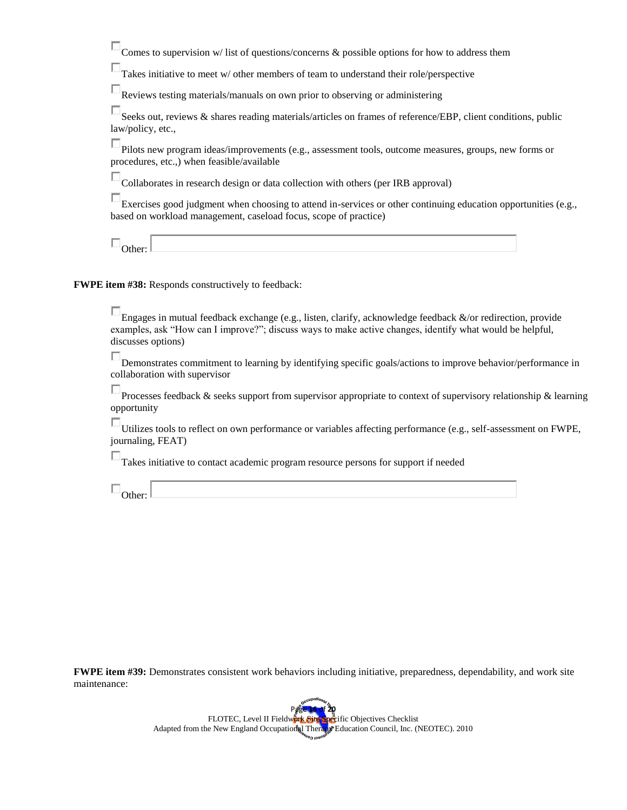| $\sim$ Comes to supervision w/ list of questions/concerns & possible options for how to address them |
|------------------------------------------------------------------------------------------------------|
|------------------------------------------------------------------------------------------------------|

 $\Box$  Takes initiative to meet w/ other members of team to understand their role/perspective

 $\square$  Reviews testing materials/manuals on own prior to observing or administering

Seeks out, reviews & shares reading materials/articles on frames of reference/EBP, client conditions, public law/policy, etc.,

Pilots new program ideas/improvements (e.g., assessment tools, outcome measures, groups, new forms or procedures, etc.,) when feasible/available

Collaborates in research design or data collection with others (per IRB approval)

Exercises good judgment when choosing to attend in-services or other continuing education opportunities (e.g., based on workload management, caseload focus, scope of practice)

 $\square_{\text{Other}}$ 

**FWPE item #38:** Responds constructively to feedback:

Engages in mutual feedback exchange (e.g., listen, clarify, acknowledge feedback &/or redirection, provide examples, ask "How can I improve?"; discuss ways to make active changes, identify what would be helpful, discusses options)

Demonstrates commitment to learning by identifying specific goals/actions to improve behavior/performance in collaboration with supervisor

Processes feedback & seeks support from supervisor appropriate to context of supervisory relationship & learning opportunity

Utilizes tools to reflect on own performance or variables affecting performance (e.g., self-assessment on FWPE, journaling, FEAT)

 $\square$  Takes initiative to contact academic program resource persons for support if needed

 $\square_{\text{Other:}}$ 

**FWPE item #39:** Demonstrates consistent work behaviors including initiative, preparedness, dependability, and work site maintenance:

> Page **16** of **20** FLOTEC, Level II Fieldwork Site Specific Objectives Checklist Adapted from the New England Occupations Therapy Education Council, Inc. (NEOTEC). 2010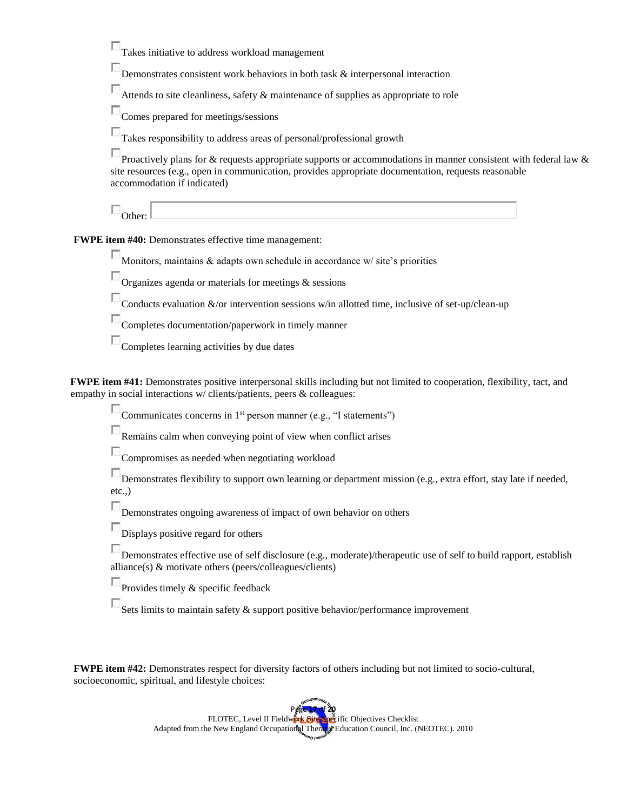$\square$ Takes initiative to address workload management

 $\square$  Demonstrates consistent work behaviors in both task  $\&$  interpersonal interaction

Attends to site cleanliness, safety & maintenance of supplies as appropriate to role

Comes prepared for meetings/sessions

Takes responsibility to address areas of personal/professional growth

Proactively plans for & requests appropriate supports or accommodations in manner consistent with federal law  $\&$ site resources (e.g., open in communication, provides appropriate documentation, requests reasonable accommodation if indicated)

 $\square_{\text{Other:}}\,$ 

**FWPE item #40:** Demonstrates effective time management:

Monitors, maintains & adapts own schedule in accordance w/ site's priorities

 $\square$  Organizes agenda or materials for meetings  $\&$  sessions

 $\square$  Conducts evaluation &/or intervention sessions w/in allotted time, inclusive of set-up/clean-up

 $\square$  Completes documentation/paperwork in timely manner

Completes learning activities by due dates

| <b>FWPE item #41:</b> Demonstrates positive interpersonal skills including but not limited to cooperation, flexibility, tact, and |
|-----------------------------------------------------------------------------------------------------------------------------------|
| empathy in social interactions w/ clients/patients, peers & colleagues:                                                           |

Communicates concerns in 1st person manner (e.g., "I statements")

 $\square$  Remains calm when conveying point of view when conflict arises

Compromises as needed when negotiating workload

Demonstrates flexibility to support own learning or department mission (e.g., extra effort, stay late if needed, etc.,)

Demonstrates ongoing awareness of impact of own behavior on others

Displays positive regard for others

Demonstrates effective use of self disclosure (e.g., moderate)/therapeutic use of self to build rapport, establish alliance(s) & motivate others (peers/colleagues/clients)

**Provides timely & specific feedback** 

 $\square$ <br>Sets limits to maintain safety & support positive behavior/performance improvement

**FWPE item #42:** Demonstrates respect for diversity factors of others including but not limited to socio-cultural, socioeconomic, spiritual, and lifestyle choices:

> Page **17** of **20** FLOTEC, Level II Fieldwork Site Specific Objectives Checklist Adapted from the New England Occupations Therapy Education Council, Inc. (NEOTEC). 2010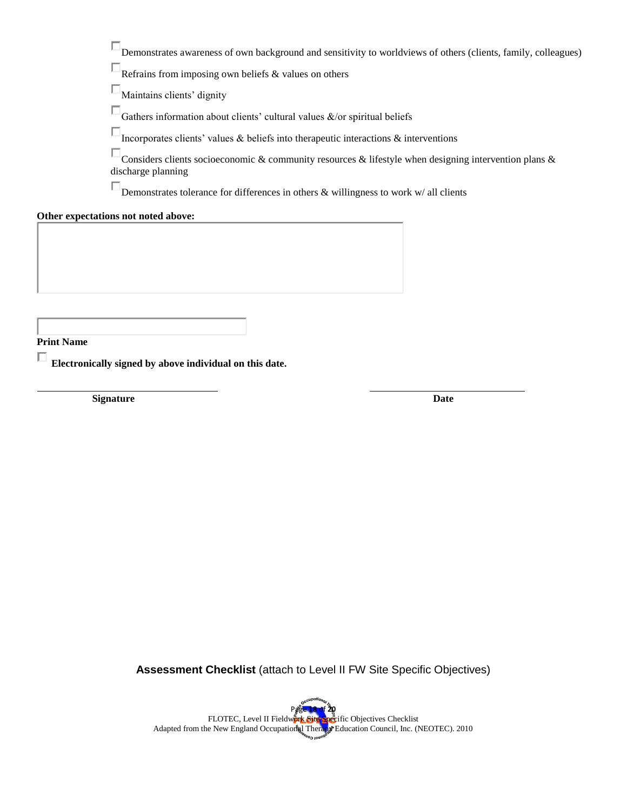Demonstrates awareness of own background and sensitivity to worldviews of others (clients, family, colleagues)

Refrains from imposing own beliefs & values on others

 $\Box_{\rm Maintains}$  clients' dignity

 $\square$  Gathers information about clients' cultural values &/or spiritual beliefs

 $\Box$ Incorporates clients' values & beliefs into therapeutic interactions & interventions

 $\square$  Considers clients socioeconomic & community resources & lifestyle when designing intervention plans & discharge planning

 $\square$  Demonstrates tolerance for differences in others & willingness to work w/ all clients

## **Other expectations not noted above:**

**Print Name**

**Electronically signed by above individual on this date.**

**Signature Date**

**Assessment Checklist** (attach to Level II FW Site Specific Objectives)

Page **18** of **20** FLOTEC, Level II Fieldwork Site Specific Objectives Checklist Adapted from the New England Occupations Therapy Education Council, Inc. (NEOTEC). 2010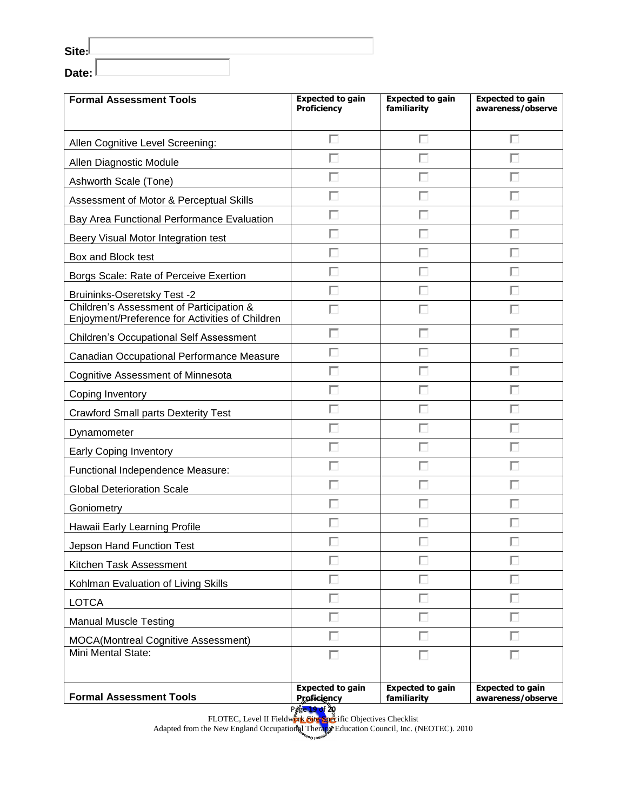**Site:** 

**Date:**

| <b>Formal Assessment Tools</b>                                                              | <b>Expected to gain</b><br><b>Proficiency</b> | <b>Expected to gain</b><br>familiarity | <b>Expected to gain</b><br>awareness/observe |
|---------------------------------------------------------------------------------------------|-----------------------------------------------|----------------------------------------|----------------------------------------------|
|                                                                                             |                                               |                                        |                                              |
| Allen Cognitive Level Screening:                                                            | п                                             | п                                      | п                                            |
| Allen Diagnostic Module                                                                     |                                               |                                        |                                              |
| Ashworth Scale (Tone)                                                                       |                                               |                                        |                                              |
| Assessment of Motor & Perceptual Skills                                                     |                                               |                                        |                                              |
| Bay Area Functional Performance Evaluation                                                  |                                               |                                        |                                              |
| Beery Visual Motor Integration test                                                         |                                               |                                        |                                              |
| Box and Block test                                                                          |                                               |                                        |                                              |
| Borgs Scale: Rate of Perceive Exertion                                                      | г                                             |                                        |                                              |
| Bruininks-Oseretsky Test -2                                                                 |                                               |                                        |                                              |
| Children's Assessment of Participation &<br>Enjoyment/Preference for Activities of Children |                                               |                                        |                                              |
| <b>Children's Occupational Self Assessment</b>                                              | г                                             |                                        |                                              |
| Canadian Occupational Performance Measure                                                   |                                               |                                        |                                              |
| Cognitive Assessment of Minnesota                                                           |                                               |                                        |                                              |
| Coping Inventory                                                                            | Г                                             |                                        |                                              |
| <b>Crawford Small parts Dexterity Test</b>                                                  | г                                             |                                        |                                              |
| Dynamometer                                                                                 | Г                                             |                                        |                                              |
| <b>Early Coping Inventory</b>                                                               | Г                                             |                                        |                                              |
| Functional Independence Measure:                                                            | г                                             |                                        |                                              |
| <b>Global Deterioration Scale</b>                                                           | г                                             |                                        |                                              |
| Goniometry                                                                                  |                                               |                                        |                                              |
| Hawaii Early Learning Profile                                                               |                                               |                                        |                                              |
| <b>Jepson Hand Function Test</b>                                                            |                                               |                                        |                                              |
| Kitchen Task Assessment                                                                     |                                               |                                        |                                              |
| Kohlman Evaluation of Living Skills                                                         | П                                             |                                        |                                              |
| <b>LOTCA</b>                                                                                | П                                             | г                                      |                                              |
| <b>Manual Muscle Testing</b>                                                                | г                                             |                                        |                                              |
| <b>MOCA(Montreal Cognitive Assessment)</b>                                                  | п                                             |                                        |                                              |
| Mini Mental State:                                                                          | П                                             | г                                      |                                              |
| <b>Formal Assessment Tools</b>                                                              | <b>Expected to gain</b><br><b>Proficiency</b> | <b>Expected to gain</b><br>familiarity | <b>Expected to gain</b><br>awareness/observe |

Page **19** of **20** FLOTEC, Level II Fieldwork Site Specific Objectives Checklist

Adapted from the New England Occupations Therapy Education Council, Inc. (NEOTEC). 2010